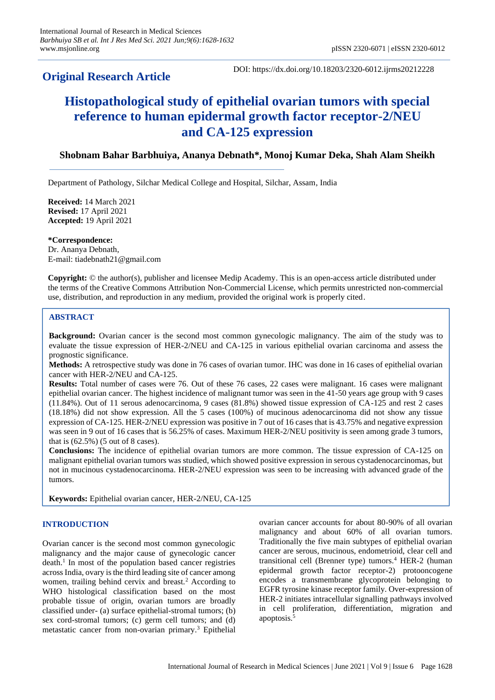## **Original Research Article**

DOI: https://dx.doi.org/10.18203/2320-6012.ijrms20212228

# **Histopathological study of epithelial ovarian tumors with special reference to human epidermal growth factor receptor-2/NEU and CA-125 expression**

## **Shobnam Bahar Barbhuiya, Ananya Debnath\*, Monoj Kumar Deka, Shah Alam Sheikh**

Department of Pathology, Silchar Medical College and Hospital, Silchar, Assam, India

**Received:** 14 March 2021 **Revised:** 17 April 2021 **Accepted:** 19 April 2021

**\*Correspondence:** Dr. Ananya Debnath, E-mail: tiadebnath21@gmail.com

**Copyright:** © the author(s), publisher and licensee Medip Academy. This is an open-access article distributed under the terms of the Creative Commons Attribution Non-Commercial License, which permits unrestricted non-commercial use, distribution, and reproduction in any medium, provided the original work is properly cited.

## **ABSTRACT**

**Background:** Ovarian cancer is the second most common gynecologic malignancy. The aim of the study was to evaluate the tissue expression of HER-2/NEU and CA-125 in various epithelial ovarian carcinoma and assess the prognostic significance.

**Methods:** A retrospective study was done in 76 cases of ovarian tumor. IHC was done in 16 cases of epithelial ovarian cancer with HER-2/NEU and CA-125.

**Results:** Total number of cases were 76. Out of these 76 cases, 22 cases were malignant. 16 cases were malignant epithelial ovarian cancer. The highest incidence of malignant tumor was seen in the 41-50 years age group with 9 cases (11.84%). Out of 11 serous adenocarcinoma, 9 cases (81.8%) showed tissue expression of CA-125 and rest 2 cases (18.18%) did not show expression. All the 5 cases (100%) of mucinous adenocarcinoma did not show any tissue expression of CA-125. HER-2/NEU expression was positive in 7 out of 16 cases that is 43.75% and negative expression was seen in 9 out of 16 cases that is 56.25% of cases. Maximum HER-2/NEU positivity is seen among grade 3 tumors, that is (62.5%) (5 out of 8 cases).

**Conclusions:** The incidence of epithelial ovarian tumors are more common. The tissue expression of CA-125 on malignant epithelial ovarian tumors was studied, which showed positive expression in serous cystadenocarcinomas, but not in mucinous cystadenocarcinoma. HER-2/NEU expression was seen to be increasing with advanced grade of the tumors.

**Keywords:** Epithelial ovarian cancer, HER-2/NEU, CA-125

## **INTRODUCTION**

Ovarian cancer is the second most common gynecologic malignancy and the major cause of gynecologic cancer death.<sup>1</sup> In most of the population based cancer registries across India, ovary is the third leading site of cancer among women, trailing behind cervix and breast.<sup>2</sup> According to WHO histological classification based on the most probable tissue of origin, ovarian tumors are broadly classified under- (a) surface epithelial-stromal tumors; (b) sex cord-stromal tumors; (c) germ cell tumors; and (d) metastatic cancer from non-ovarian primary.<sup>3</sup> Epithelial ovarian cancer accounts for about 80-90% of all ovarian malignancy and about 60% of all ovarian tumors. Traditionally the five main subtypes of epithelial ovarian cancer are serous, mucinous, endometrioid, clear cell and transitional cell (Brenner type) tumors.<sup>4</sup> HER-2 (human epidermal growth factor receptor-2) protooncogene encodes a transmembrane glycoprotein belonging to EGFR tyrosine kinase receptor family. Over-expression of HER-2 initiates intracellular signalling pathways involved in cell proliferation, differentiation, migration and apoptosis.<sup>5</sup>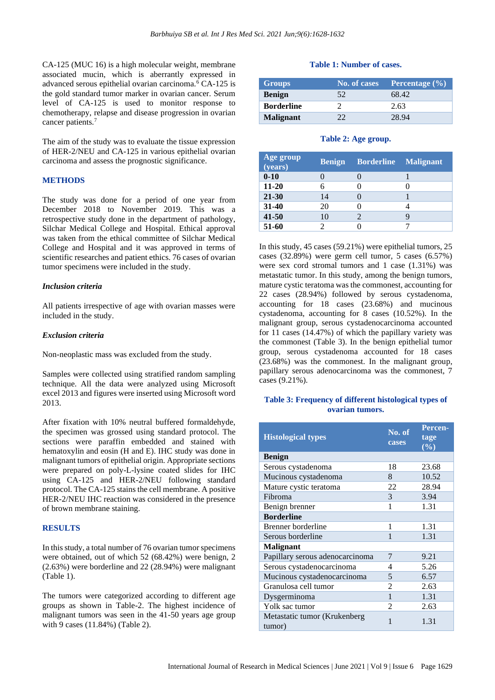CA-125 (MUC 16) is a high molecular weight, membrane associated mucin, which is aberrantly expressed in advanced serous epithelial ovarian carcinoma.<sup>6</sup> CA-125 is the gold standard tumor marker in ovarian cancer. Serum level of CA-125 is used to monitor response to chemotherapy, relapse and disease progression in ovarian cancer patients.<sup>7</sup>

The aim of the study was to evaluate the tissue expression of HER-2/NEU and CA-125 in various epithelial ovarian carcinoma and assess the prognostic significance.

## **METHODS**

The study was done for a period of one year from December 2018 to November 2019. This was a retrospective study done in the department of pathology, Silchar Medical College and Hospital. Ethical approval was taken from the ethical committee of Silchar Medical College and Hospital and it was approved in terms of scientific researches and patient ethics. 76 cases of ovarian tumor specimens were included in the study.

#### *Inclusion criteria*

All patients irrespective of age with ovarian masses were included in the study.

#### *Exclusion criteria*

Non-neoplastic mass was excluded from the study.

Samples were collected using stratified random sampling technique. All the data were analyzed using Microsoft excel 2013 and figures were inserted using Microsoft word 2013.

After fixation with 10% neutral buffered formaldehyde, the specimen was grossed using standard protocol. The sections were paraffin embedded and stained with hematoxylin and eosin (H and E). IHC study was done in malignant tumors of epithelial origin. Appropriate sections were prepared on poly-L-lysine coated slides for IHC using CA-125 and HER-2/NEU following standard protocol. The CA-125 stains the cell membrane. A positive HER-2/NEU IHC reaction was considered in the presence of brown membrane staining.

#### **RESULTS**

In this study, a total number of 76 ovarian tumor specimens were obtained, out of which 52 (68.42%) were benign, 2 (2.63%) were borderline and 22 (28.94%) were malignant (Table 1).

The tumors were categorized according to different age groups as shown in Table-2. The highest incidence of malignant tumors was seen in the 41-50 years age group with 9 cases (11.84%) (Table 2).

#### **Table 1: Number of cases.**

| <b>Groups</b>     | No. of cases | Percentage $(\% )$ |
|-------------------|--------------|--------------------|
| <b>Benign</b>     | 52           | 68.42              |
| <b>Borderline</b> |              | 2.63               |
| <b>Malignant</b>  |              | 28 94              |

#### **Table 2: Age group.**

| Age group<br>(years) | <b>Benign</b> | <b>Borderline</b> | <b>Malignant</b> |
|----------------------|---------------|-------------------|------------------|
| $0 - 10$             |               |                   |                  |
| $11 - 20$            |               |                   |                  |
| $21 - 30$            | 14            |                   |                  |
| $31 - 40$            | 20            |                   |                  |
| $41 - 50$            | 10            |                   |                  |
| 51-60                |               |                   |                  |

In this study, 45 cases (59.21%) were epithelial tumors, 25 cases (32.89%) were germ cell tumor, 5 cases (6.57%) were sex cord stromal tumors and 1 case (1.31%) was metastatic tumor. In this study, among the benign tumors, mature cystic teratoma was the commonest, accounting for 22 cases (28.94%) followed by serous cystadenoma, accounting for 18 cases (23.68%) and mucinous cystadenoma, accounting for 8 cases (10.52%). In the malignant group, serous cystadenocarcinoma accounted for 11 cases (14.47%) of which the papillary variety was the commonest (Table 3). In the benign epithelial tumor group, serous cystadenoma accounted for 18 cases (23.68%) was the commonest. In the malignant group, papillary serous adenocarcinoma was the commonest, 7 cases (9.21%).

#### **Table 3: Frequency of different histological types of ovarian tumors.**

| <b>Histological types</b>              | No. of<br>cases | <b>Percen-</b><br>tage<br>$(\%)$ |
|----------------------------------------|-----------------|----------------------------------|
| <b>Benign</b>                          |                 |                                  |
| Serous cystadenoma                     | 18              | 23.68                            |
| Mucinous cystadenoma                   | 8               | 10.52                            |
| Mature cystic teratoma                 | 22              | 28.94                            |
| Fibroma                                | 3               | 3.94                             |
| Benign brenner                         | 1               | 1.31                             |
| <b>Borderline</b>                      |                 |                                  |
| Brenner borderline                     | 1               | 1.31                             |
| Serous borderline                      | 1               | 1.31                             |
| <b>Malignant</b>                       |                 |                                  |
| Papillary serous adenocarcinoma        | 7               | 9.21                             |
| Serous cystadenocarcinoma              | 4               | 5.26                             |
| Mucinous cystadenocarcinoma            | 5               | 6.57                             |
| Granulosa cell tumor                   | 2               | 2.63                             |
| Dysgerminoma                           | $\mathbf{1}$    | 1.31                             |
| Yolk sac tumor                         | 2               | 2.63                             |
| Metastatic tumor (Krukenberg<br>tumor) | 1               | 1.31                             |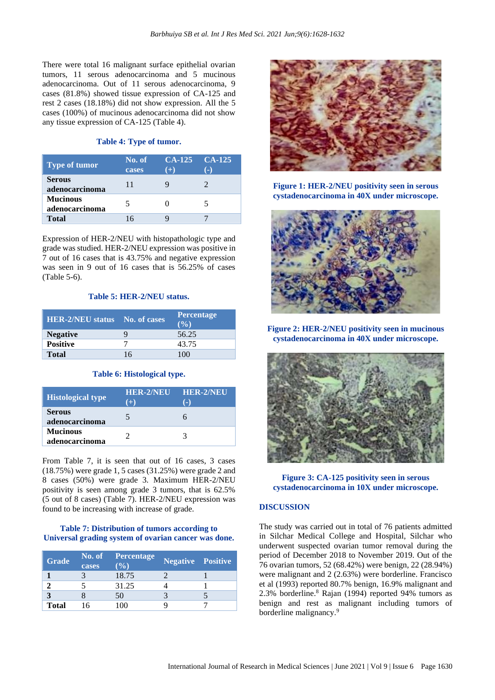There were total 16 malignant surface epithelial ovarian tumors, 11 serous adenocarcinoma and 5 mucinous adenocarcinoma. Out of 11 serous adenocarcinoma, 9 cases (81.8%) showed tissue expression of CA-125 and rest 2 cases (18.18%) did not show expression. All the 5 cases (100%) of mucinous adenocarcinoma did not show any tissue expression of CA-125 (Table 4).

## **Table 4: Type of tumor.**

| Type of tumor                     | No. of<br>cases | $CA-125$ $CA-125$<br>$(+)$ | æ. |
|-----------------------------------|-----------------|----------------------------|----|
| <b>Serous</b><br>adenocarcinoma   | 11              |                            |    |
| <b>Mucinous</b><br>adenocarcinoma |                 |                            |    |
| <b>Total</b>                      | 16              |                            |    |

Expression of HER-2/NEU with histopathologic type and grade was studied. HER-2/NEU expression was positive in 7 out of 16 cases that is 43.75% and negative expression was seen in 9 out of 16 cases that is 56.25% of cases (Table 5-6).

## **Table 5: HER-2/NEU status.**

| <b>HER-2/NEU status</b> No. of cases |    | <b>Percentage</b><br>$($ %) |
|--------------------------------------|----|-----------------------------|
| <b>Negative</b>                      |    | 56.25                       |
| <b>Positive</b>                      |    | 43.75                       |
| <b>Total</b>                         | 16 | 100                         |

#### **Table 6: Histological type.**

| <b>Histological type</b>          | <b>HER-2/NEU</b><br>$(+)$ | <b>HER-2/NEU</b> |
|-----------------------------------|---------------------------|------------------|
| <b>Serous</b><br>adenocarcinoma   |                           |                  |
| <b>Mucinous</b><br>adenocarcinoma |                           |                  |

From Table 7, it is seen that out of 16 cases, 3 cases (18.75%) were grade 1, 5 cases (31.25%) were grade 2 and 8 cases (50%) were grade 3. Maximum HER-2/NEU positivity is seen among grade 3 tumors, that is 62.5% (5 out of 8 cases) (Table 7). HER-2/NEU expression was found to be increasing with increase of grade.

## **Table 7: Distribution of tumors according to Universal grading system of ovarian cancer was done.**

| <b>Grade</b> | No. of<br>cases | <b>Percentage</b><br>$($ %) | <b>Negative Positive</b> |  |
|--------------|-----------------|-----------------------------|--------------------------|--|
|              |                 | 18.75                       |                          |  |
|              |                 | 31.25                       |                          |  |
|              |                 | 50                          |                          |  |
| <b>Total</b> | 6               |                             |                          |  |



**Figure 1: HER-2/NEU positivity seen in serous cystadenocarcinoma in 40X under microscope.**



**Figure 2: HER-2/NEU positivity seen in mucinous cystadenocarcinoma in 40X under microscope.**



**Figure 3: CA-125 positivity seen in serous cystadenocarcinoma in 10X under microscope.**

## **DISCUSSION**

The study was carried out in total of 76 patients admitted in Silchar Medical College and Hospital, Silchar who underwent suspected ovarian tumor removal during the period of December 2018 to November 2019. Out of the 76 ovarian tumors, 52 (68.42%) were benign, 22 (28.94%) were malignant and 2 (2.63%) were borderline. Francisco et al (1993) reported 80.7% benign, 16.9% malignant and 2.3% borderline. <sup>8</sup> Rajan (1994) reported 94% tumors as benign and rest as malignant including tumors of borderline malignancy.<sup>9</sup>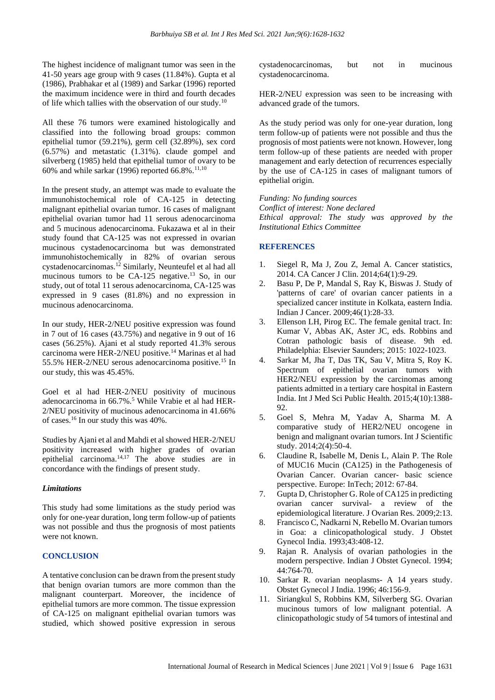The highest incidence of malignant tumor was seen in the 41-50 years age group with 9 cases (11.84%). Gupta et al (1986), Prabhakar et al (1989) and Sarkar (1996) reported the maximum incidence were in third and fourth decades of life which tallies with the observation of our study.<sup>10</sup>

All these 76 tumors were examined histologically and classified into the following broad groups: common epithelial tumor (59.21%), germ cell (32.89%), sex cord (6.57%) and metastatic (1.31%). claude gompel and silverberg (1985) held that epithelial tumor of ovary to be 60% and while sarkar (1996) reported  $66.8\%$ .<sup>11,10</sup>

In the present study, an attempt was made to evaluate the immunohistochemical role of CA-125 in detecting malignant epithelial ovarian tumor. 16 cases of malignant epithelial ovarian tumor had 11 serous adenocarcinoma and 5 mucinous adenocarcinoma. Fukazawa et al in their study found that CA-125 was not expressed in ovarian mucinous cystadenocarcinoma but was demonstrated immunohistochemically in 82% of ovarian serous cystadenocarcinomas.<sup>12</sup> Similarly, Neunteufel et al had all mucinous tumors to be  $CA-125$  negative.<sup>13</sup> So, in our study, out of total 11 serous adenocarcinoma, CA-125 was expressed in 9 cases (81.8%) and no expression in mucinous adenocarcinoma.

In our study, HER-2/NEU positive expression was found in 7 out of 16 cases (43.75%) and negative in 9 out of 16 cases (56.25%). Ajani et al study reported 41.3% serous carcinoma were HER-2/NEU positive.<sup>14</sup> Marinas et al had 55.5% HER-2/NEU serous adenocarcinoma positive.<sup>15</sup> In our study, this was 45.45%.

Goel et al had HER-2/NEU positivity of mucinous adenocarcinoma in 66.7%.<sup>5</sup> While Vrabie et al had HER-2/NEU positivity of mucinous adenocarcinoma in 41.66% of cases.<sup>16</sup> In our study this was 40%.

Studies by Ajani et al and Mahdi et al showed HER-2/NEU positivity increased with higher grades of ovarian epithelial carcinoma. $14,17$  The above studies are in concordance with the findings of present study.

#### *Limitations*

This study had some limitations as the study period was only for one-year duration, long term follow-up of patients was not possible and thus the prognosis of most patients were not known.

## **CONCLUSION**

A tentative conclusion can be drawn from the present study that benign ovarian tumors are more common than the malignant counterpart. Moreover, the incidence of epithelial tumors are more common. The tissue expression of CA-125 on malignant epithelial ovarian tumors was studied, which showed positive expression in serous cystadenocarcinomas, but not in mucinous cystadenocarcinoma.

HER-2/NEU expression was seen to be increasing with advanced grade of the tumors.

As the study period was only for one-year duration, long term follow-up of patients were not possible and thus the prognosis of most patients were not known. However, long term follow-up of these patients are needed with proper management and early detection of recurrences especially by the use of CA-125 in cases of malignant tumors of epithelial origin.

*Funding: No funding sources Conflict of interest: None declared Ethical approval: The study was approved by the Institutional Ethics Committee*

#### **REFERENCES**

- 1. Siegel R, Ma J, Zou Z, Jemal A. Cancer statistics, 2014. CA Cancer J Clin. 2014;64(1):9-29.
- 2. Basu P, De P, Mandal S, Ray K, Biswas J. Study of 'patterns of care' of ovarian cancer patients in a specialized cancer institute in Kolkata, eastern India. Indian J Cancer. 2009;46(1):28-33.
- 3. Ellenson LH, Pirog EC. The female genital tract. In: Kumar V, Abbas AK, Aster JC, eds. Robbins and Cotran pathologic basis of disease. 9th ed. Philadelphia: Elsevier Saunders; 2015: 1022-1023.
- 4. Sarkar M, Jha T, Das TK, Sau V, Mitra S, Roy K. Spectrum of epithelial ovarian tumors with HER2/NEU expression by the carcinomas among patients admitted in a tertiary care hospital in Eastern India. Int J Med Sci Public Health. 2015;4(10):1388- 92.
- 5. Goel S, Mehra M, Yadav A, Sharma M. A comparative study of HER2/NEU oncogene in benign and malignant ovarian tumors. Int J Scientific study. 2014;2(4):50-4.
- 6. Claudine R, Isabelle M, Denis L, Alain P. The Role of MUC16 Mucin (CA125) in the Pathogenesis of Ovarian Cancer. Ovarian cancer- basic science perspective. Europe: InTech; 2012: 67-84.
- 7. Gupta D, Christopher G. Role of CA125 in predicting ovarian cancer survival- a review of the epidemiological literature. J Ovarian Res. 2009;2:13.
- 8. Francisco C, Nadkarni N, Rebello M. Ovarian tumors in Goa: a clinicopathological study. J Obstet Gynecol India. 1993;43:408-12.
- 9. Rajan R. Analysis of ovarian pathologies in the modern perspective. Indian J Obstet Gynecol. 1994; 44:764-70.
- 10. Sarkar R. ovarian neoplasms- A 14 years study. Obstet Gynecol J India. 1996; 46:156-9.
- 11. Siriangkul S, Robbins KM, Silverberg SG. Ovarian mucinous tumors of low malignant potential. A clinicopathologic study of 54 tumors of intestinal and